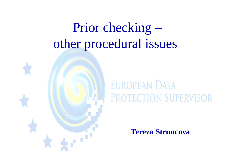# Prior checking – other procedural issues



### **EUROPEAN DATA** PROTECTION SUPERVISOR

**Tereza Struncova**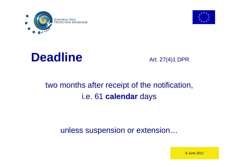







#### two months after receipt of the notification, i.e. 61 **calendar** days

#### unless suspension or extension…

8 June 2011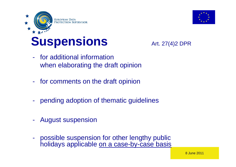

## **Suspensions** Art. 27(4)2 DPR



- for additional information when elaborating the draft opinion
- for comments on the draft opinion
- pending adoption of thematic guidelines
- August suspension
- possible suspension for other lengthy public holidays applicable on a case-by-case basis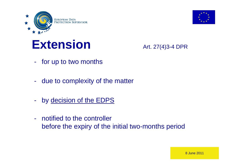



#### **Extension** Art. 27(4)3-4 DPR

- for up to two months
- due to complexity of the matter
- by decision of the EDPS
- notified to the controller before the expiry of the initial two-months period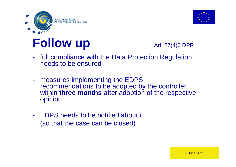



## **Follow up** Art. 27(4)6 DPR

- full compliance with the Data Protection Regulation needs to be ensured
- measures implementing the EDPS recommendations to be adopted by the controller within **three months** after adoption of the respective opinion
- EDPS needs to be notified about it (so that the case can be closed)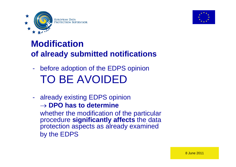



#### **Modification of already submitted notifications**

- before adoption of the EDPS opinion TO BE AVOIDED
- already existing EDPS opinion  $\rightarrow$  DPO has to determine whether the modification of the particular procedure **significantly affects** the data protection aspects as already examined by the EDPS